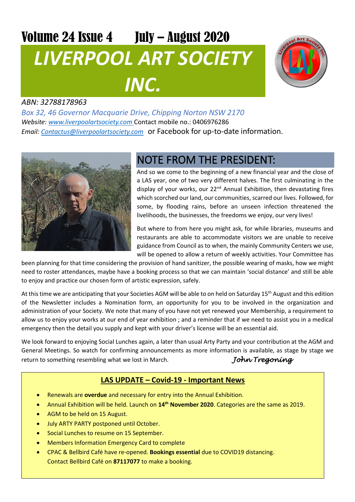# Volume 24 Issue 4 July – August 2020 *LIVERPOOL ART SOCIETY INC.*



#### *ABN: 32788178963*

*Box 32, 46 Governor Macquarie Drive, Chipping Norton NSW 2170 Website: [www.liverpoolartsociety.com](http://www.liverpoolartsociety.com/)* Contact mobile no.: 0406976286 *Email: [Contactus@liverpoolartsociety.com](mailto:Contactus@liverpoolartsociety.com)* or Facebook for up-to-date information.



## NOTE FROM THE PRESIDENT:

And so we come to the beginning of a new financial year and the close of a LAS year, one of two very different halves. The first culminating in the display of your works, our 22<sup>nd</sup> Annual Exhibition, then devastating fires which scorched our land, our communities, scarred our lives. Followed, for some, by flooding rains, before an unseen infection threatened the livelihoods, the businesses, the freedoms we enjoy, our very lives!

But where to from here you might ask, for while libraries, museums and restaurants are able to accommodate visitors we are unable to receive guidance from Council as to when, the mainly Community Centers we use, will be opened to allow a return of weekly activities. Your Committee has

been planning for that time considering the provision of hand sanitizer, the possible wearing of masks, how we might need to roster attendances, maybe have a booking process so that we can maintain 'social distance' and still be able to enjoy and practice our chosen form of artistic expression, safely.

At this time we are anticipating that your Societies AGM will be able to on held on Saturday 15<sup>th</sup> August and this edition of the Newsletter includes a Nomination form, an opportunity for you to be involved in the organization and administration of your Society. We note that many of you have not yet renewed your Membership, a requirement to allow us to enjoy your works at our end of year exhibition ; and a reminder that if we need to assist you in a medical emergency then the detail you supply and kept with your driver's license will be an essential aid.

We look forward to enjoying Social Lunches again, a later than usual Arty Party and your contribution at the AGM and General Meetings. So watch for confirming announcements as more information is available, as stage by stage we return to something resembling what we lost in March. *John Tregoning* 

#### **LAS UPDATE – Covid-19 - Important News**

- Renewals are **overdue** and necessary for entry into the Annual Exhibition.
- Annual Exhibition will be held. Launch on **14th November 2020**. Categories are the same as 2019.
- AGM to be held on 15 August.
- July ARTY PARTY postponed until October.
- Social Lunches to resume on 15 September.
- Members Information Emergency Card to complete
- CPAC & Bellbird Café have re-opened. **Bookings essential** due to COVID19 distancing. Contact Bellbird Café on **87117077** to make a booking.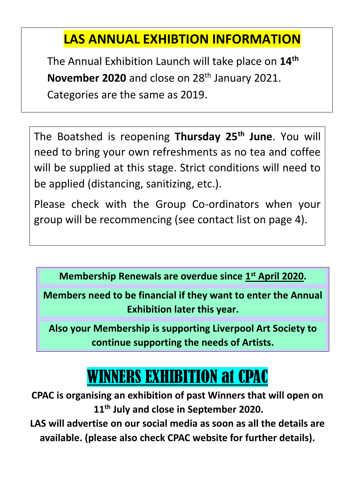# **LAS ANNUAL EXHIBTION INFORMATION**

The Annual Exhibition Launch will take place on **14th November 2020** and close on 28<sup>th</sup> January 2021. Categories are the same as 2019.

The Boatshed is reopening **Thursday 25th June**. You will need to bring your own refreshments as no tea and coffee will be supplied at this stage. Strict conditions will need to be applied (distancing, sanitizing, etc.).

Please check with the Group Co-ordinators when your group will be recommencing (see contact list on page 4).

**Membership Renewals are overdue since 1st April 2020.** 

**Members need to be financial if they want to enter the Annual Exhibition later this year.**

**Also your Membership is supporting Liverpool Art Society to continue supporting the needs of Artists.**

# WINNERS EXHIBITION at CPAC

**CPAC is organising an exhibition of past Winners that will open on 11th July and close in September 2020.**

**LAS will advertise on our social media as soon as all the details are available. (please also check CPAC website for further details).**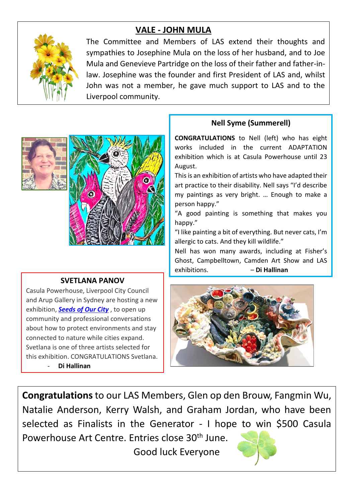### **VALE - JOHN MULA**



The Committee and Members of LAS extend their thoughts and sympathies to Josephine Mula on the loss of her husband, and to Joe Mula and Genevieve Partridge on the loss of their father and father-inlaw. Josephine was the founder and first President of LAS and, whilst John was not a member, he gave much support to LAS and to the Liverpool community.





#### **SVETLANA PANOV**

Casula Powerhouse, Liverpool City Council and Arup Gallery in Sydney are hosting a new exhibition, *[Seeds](https://www.arup.com/news-and-events/seeds-of-our-city) of Our City* , to open up community and professional conversations about how to protect environments and stay connected to nature while cities expand. Svetlana is one of three artists selected for this exhibition. CONGRATULATIONS Svetlana.

- **Di Hallinan**

### **Nell Syme (Summerell)**

**CONGRATULATIONS** to Nell (left) who has eight works included in the current ADAPTATION exhibition which is at Casula Powerhouse until 23 August.

This is an exhibition of artists who have adapted their art practice to their disability. Nell says "I'd describe my paintings as very bright. … Enough to make a person happy."

"A good painting is something that makes you happy."

"I like painting a bit of everything. But never cats, I'm allergic to cats. And they kill wildlife."

Nell has won many awards, including at Fisher's Ghost, Campbelltown, Camden Art Show and LAS exhibitions. – **Di Hallinan**



**Congratulations** to our LAS Members, Glen op den Brouw, Fangmin Wu, Natalie Anderson, Kerry Walsh, and Graham Jordan, who have been selected as Finalists in the Generator - I hope to win \$500 Casula Powerhouse Art Centre. Entries close 30<sup>th</sup> June.

Good luck Everyone